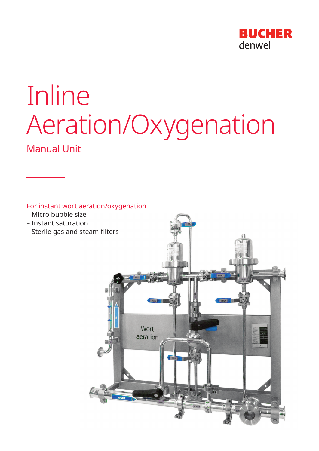

# Inline Aeration/Oxygenation

Manual Unit

For instant wort aeration/oxygenation

- Micro bubble size
- Instant saturation
- Sterile gas and steam filters